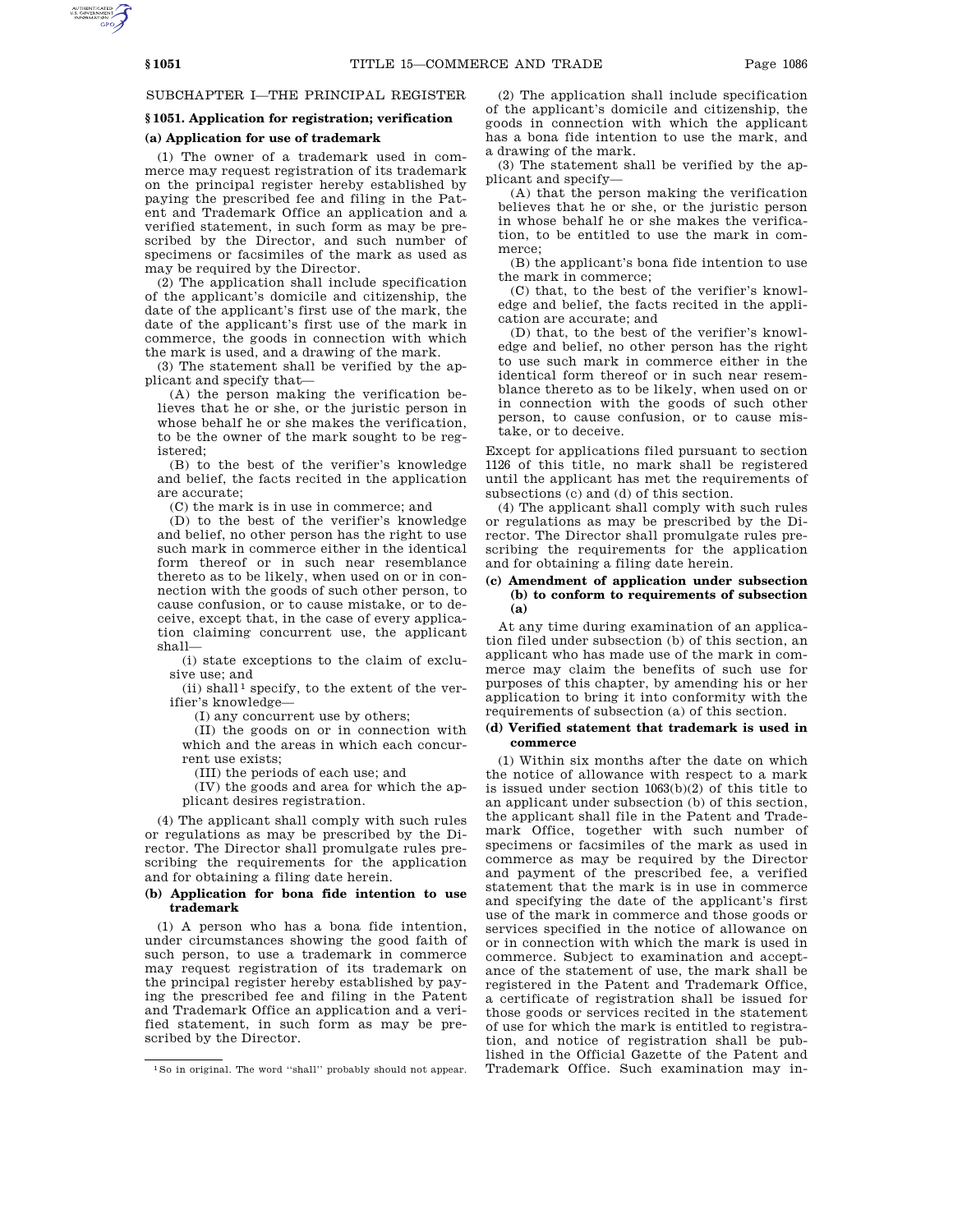# SUBCHAPTER I—THE PRINCIPAL REGISTER

# **§ 1051. Application for registration; verification**

# **(a) Application for use of trademark**

(1) The owner of a trademark used in commerce may request registration of its trademark on the principal register hereby established by paying the prescribed fee and filing in the Patent and Trademark Office an application and a verified statement, in such form as may be prescribed by the Director, and such number of specimens or facsimiles of the mark as used as may be required by the Director.

(2) The application shall include specification of the applicant's domicile and citizenship, the date of the applicant's first use of the mark, the date of the applicant's first use of the mark in commerce, the goods in connection with which the mark is used, and a drawing of the mark.

(3) The statement shall be verified by the applicant and specify that—

(A) the person making the verification believes that he or she, or the juristic person in whose behalf he or she makes the verification, to be the owner of the mark sought to be registered;

(B) to the best of the verifier's knowledge and belief, the facts recited in the application are accurate;

(C) the mark is in use in commerce; and

(D) to the best of the verifier's knowledge and belief, no other person has the right to use such mark in commerce either in the identical form thereof or in such near resemblance thereto as to be likely, when used on or in connection with the goods of such other person, to cause confusion, or to cause mistake, or to deceive, except that, in the case of every application claiming concurrent use, the applicant shall—

(i) state exceptions to the claim of exclusive use; and

 $(ii)$  shall<sup>1</sup> specify, to the extent of the verifier's knowledge—

(I) any concurrent use by others;

(II) the goods on or in connection with which and the areas in which each concurrent use exists;

(III) the periods of each use; and

(IV) the goods and area for which the applicant desires registration.

(4) The applicant shall comply with such rules or regulations as may be prescribed by the Director. The Director shall promulgate rules prescribing the requirements for the application and for obtaining a filing date herein.

### **(b) Application for bona fide intention to use trademark**

(1) A person who has a bona fide intention, under circumstances showing the good faith of such person, to use a trademark in commerce may request registration of its trademark on the principal register hereby established by paying the prescribed fee and filing in the Patent and Trademark Office an application and a verified statement, in such form as may be prescribed by the Director.

(2) The application shall include specification of the applicant's domicile and citizenship, the goods in connection with which the applicant has a bona fide intention to use the mark, and a drawing of the mark.

(3) The statement shall be verified by the applicant and specify—

(A) that the person making the verification believes that he or she, or the juristic person in whose behalf he or she makes the verification, to be entitled to use the mark in commerce;

(B) the applicant's bona fide intention to use the mark in commerce;

(C) that, to the best of the verifier's knowledge and belief, the facts recited in the application are accurate; and

(D) that, to the best of the verifier's knowledge and belief, no other person has the right to use such mark in commerce either in the identical form thereof or in such near resemblance thereto as to be likely, when used on or in connection with the goods of such other person, to cause confusion, or to cause mistake, or to deceive.

Except for applications filed pursuant to section 1126 of this title, no mark shall be registered until the applicant has met the requirements of subsections (c) and (d) of this section.

(4) The applicant shall comply with such rules or regulations as may be prescribed by the Director. The Director shall promulgate rules prescribing the requirements for the application and for obtaining a filing date herein.

# **(c) Amendment of application under subsection (b) to conform to requirements of subsection (a)**

At any time during examination of an application filed under subsection (b) of this section, an applicant who has made use of the mark in commerce may claim the benefits of such use for purposes of this chapter, by amending his or her application to bring it into conformity with the requirements of subsection (a) of this section.

# **(d) Verified statement that trademark is used in commerce**

(1) Within six months after the date on which the notice of allowance with respect to a mark is issued under section 1063(b)(2) of this title to an applicant under subsection (b) of this section, the applicant shall file in the Patent and Trademark Office, together with such number of specimens or facsimiles of the mark as used in commerce as may be required by the Director and payment of the prescribed fee, a verified statement that the mark is in use in commerce and specifying the date of the applicant's first use of the mark in commerce and those goods or services specified in the notice of allowance on or in connection with which the mark is used in commerce. Subject to examination and acceptance of the statement of use, the mark shall be registered in the Patent and Trademark Office, a certificate of registration shall be issued for those goods or services recited in the statement of use for which the mark is entitled to registration, and notice of registration shall be published in the Official Gazette of the Patent and Trademark Office. Such examination may in-

<sup>1</sup>So in original. The word ''shall'' probably should not appear.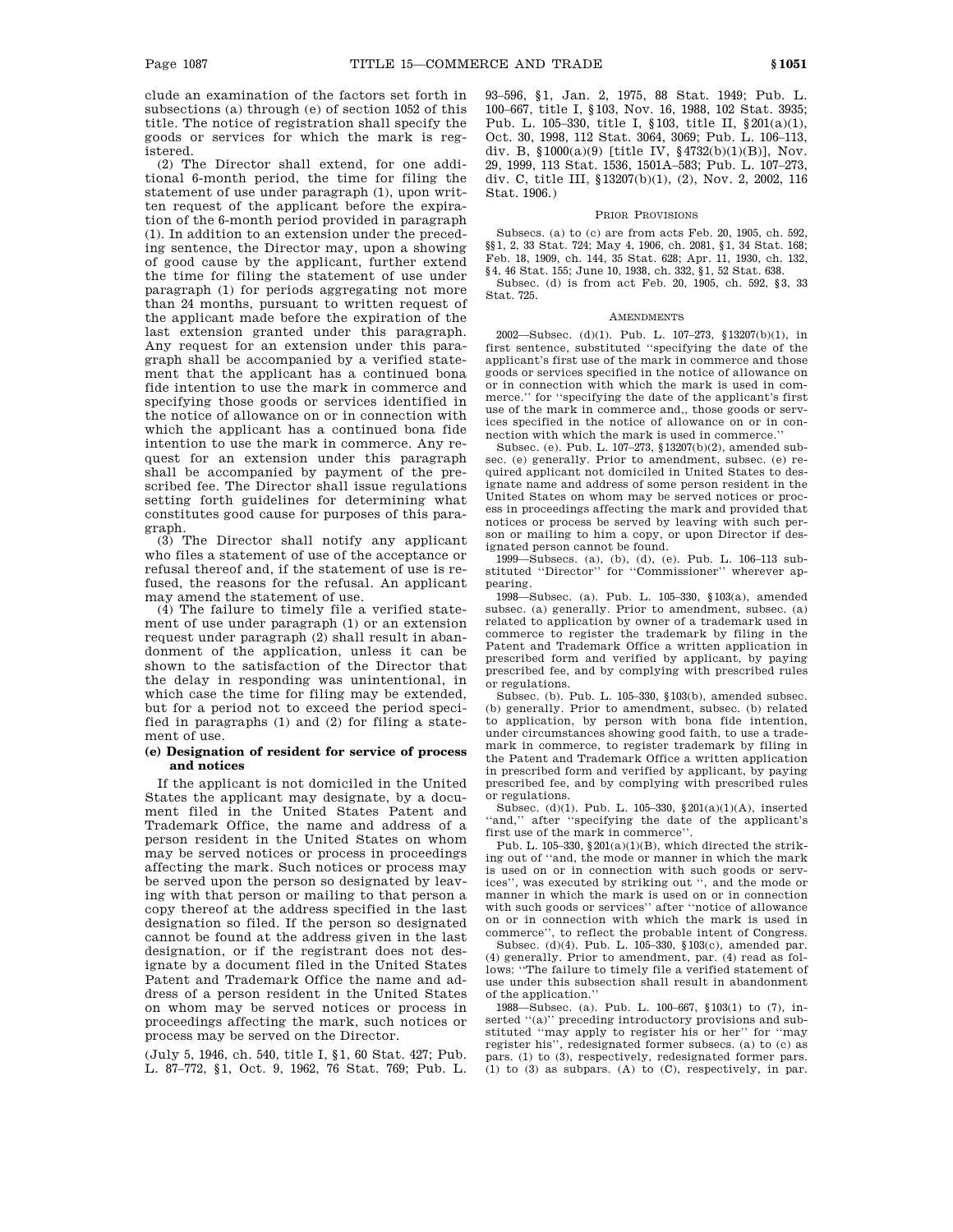clude an examination of the factors set forth in subsections (a) through (e) of section 1052 of this title. The notice of registration shall specify the goods or services for which the mark is registered.

(2) The Director shall extend, for one additional 6-month period, the time for filing the statement of use under paragraph (1), upon written request of the applicant before the expiration of the 6-month period provided in paragraph (1). In addition to an extension under the preceding sentence, the Director may, upon a showing of good cause by the applicant, further extend the time for filing the statement of use under paragraph (1) for periods aggregating not more than 24 months, pursuant to written request of the applicant made before the expiration of the last extension granted under this paragraph. Any request for an extension under this paragraph shall be accompanied by a verified statement that the applicant has a continued bona fide intention to use the mark in commerce and specifying those goods or services identified in the notice of allowance on or in connection with which the applicant has a continued bona fide intention to use the mark in commerce. Any request for an extension under this paragraph shall be accompanied by payment of the prescribed fee. The Director shall issue regulations setting forth guidelines for determining what constitutes good cause for purposes of this paragraph.

(3) The Director shall notify any applicant who files a statement of use of the acceptance or refusal thereof and, if the statement of use is refused, the reasons for the refusal. An applicant may amend the statement of use.

(4) The failure to timely file a verified statement of use under paragraph (1) or an extension request under paragraph (2) shall result in abandonment of the application, unless it can be shown to the satisfaction of the Director that the delay in responding was unintentional, in which case the time for filing may be extended, but for a period not to exceed the period specified in paragraphs (1) and (2) for filing a statement of use.

# **(e) Designation of resident for service of process and notices**

If the applicant is not domiciled in the United States the applicant may designate, by a document filed in the United States Patent and Trademark Office, the name and address of a person resident in the United States on whom may be served notices or process in proceedings affecting the mark. Such notices or process may be served upon the person so designated by leaving with that person or mailing to that person a copy thereof at the address specified in the last designation so filed. If the person so designated cannot be found at the address given in the last designation, or if the registrant does not designate by a document filed in the United States Patent and Trademark Office the name and address of a person resident in the United States on whom may be served notices or process in proceedings affecting the mark, such notices or process may be served on the Director.

(July 5, 1946, ch. 540, title I, §1, 60 Stat. 427; Pub. L. 87–772, §1, Oct. 9, 1962, 76 Stat. 769; Pub. L. 93–596, §1, Jan. 2, 1975, 88 Stat. 1949; Pub. L. 100–667, title I, §103, Nov. 16, 1988, 102 Stat. 3935; Pub. L. 105–330, title I, §103, title II, §201(a)(1), Oct. 30, 1998, 112 Stat. 3064, 3069; Pub. L. 106–113, div. B, §1000(a)(9) [title IV, §4732(b)(1)(B)], Nov. 29, 1999, 113 Stat. 1536, 1501A–583; Pub. L. 107–273, div. C, title III, §13207(b)(1), (2), Nov. 2, 2002, 116 Stat. 1906.)

#### PRIOR PROVISIONS

Subsecs. (a) to (c) are from acts Feb. 20, 1905, ch. 592, §§1, 2, 33 Stat. 724; May 4, 1906, ch. 2081, §1, 34 Stat. 168; Feb. 18, 1909, ch. 144, 35 Stat. 628; Apr. 11, 1930, ch. 132, §4, 46 Stat. 155; June 10, 1938, ch. 332, §1, 52 Stat. 638.

Subsec. (d) is from act Feb. 20, 1905, ch. 592, §3, 33 Stat. 725.

#### AMENDMENTS

2002—Subsec. (d)(1). Pub. L. 107–273, §13207(b)(1), in first sentence, substituted ''specifying the date of the applicant's first use of the mark in commerce and those goods or services specified in the notice of allowance on or in connection with which the mark is used in commerce.'' for ''specifying the date of the applicant's first use of the mark in commerce and,, those goods or services specified in the notice of allowance on or in connection with which the mark is used in commerce.

Subsec. (e). Pub. L. 107–273, §13207(b)(2), amended subsec. (e) generally. Prior to amendment, subsec. (e) required applicant not domiciled in United States to designate name and address of some person resident in the United States on whom may be served notices or process in proceedings affecting the mark and provided that notices or process be served by leaving with such person or mailing to him a copy, or upon Director if designated person cannot be found.

1999—Subsecs. (a), (b), (d), (e). Pub. L. 106–113 substituted ''Director'' for ''Commissioner'' wherever appearing.

1998—Subsec. (a). Pub. L. 105–330, §103(a), amended subsec. (a) generally. Prior to amendment, subsec. (a) related to application by owner of a trademark used in commerce to register the trademark by filing in the Patent and Trademark Office a written application in prescribed form and verified by applicant, by paying prescribed fee, and by complying with prescribed rules or regulations.

Subsec. (b). Pub. L. 105–330, §103(b), amended subsec. (b) generally. Prior to amendment, subsec. (b) related to application, by person with bona fide intention, under circumstances showing good faith, to use a trademark in commerce, to register trademark by filing in the Patent and Trademark Office a written application in prescribed form and verified by applicant, by paying prescribed fee, and by complying with prescribed rules or regulations.

Subsec. (d)(1). Pub. L. 105–330, §201(a)(1)(A), inserted 'and," after "specifying the date of the applicant's first use of the mark in commerce''.

Pub. L. 105-330, §201(a)(1)(B), which directed the striking out of ''and, the mode or manner in which the mark is used on or in connection with such goods or services'', was executed by striking out '', and the mode or manner in which the mark is used on or in connection with such goods or services'' after ''notice of allowance on or in connection with which the mark is used in commerce'', to reflect the probable intent of Congress.

Subsec. (d)(4). Pub. L. 105–330, §103(c), amended par. (4) generally. Prior to amendment, par. (4) read as follows: ''The failure to timely file a verified statement of use under this subsection shall result in abandonment of the application.''

1988—Subsec. (a). Pub. L. 100–667, §103(1) to (7), inserted "(a)" preceding introductory provisions and substituted ''may apply to register his or her'' for ''may register his'', redesignated former subsecs. (a) to (c) as pars. (1) to (3), respectively, redesignated former pars. (1) to (3) as subpars. (A) to (C), respectively, in par.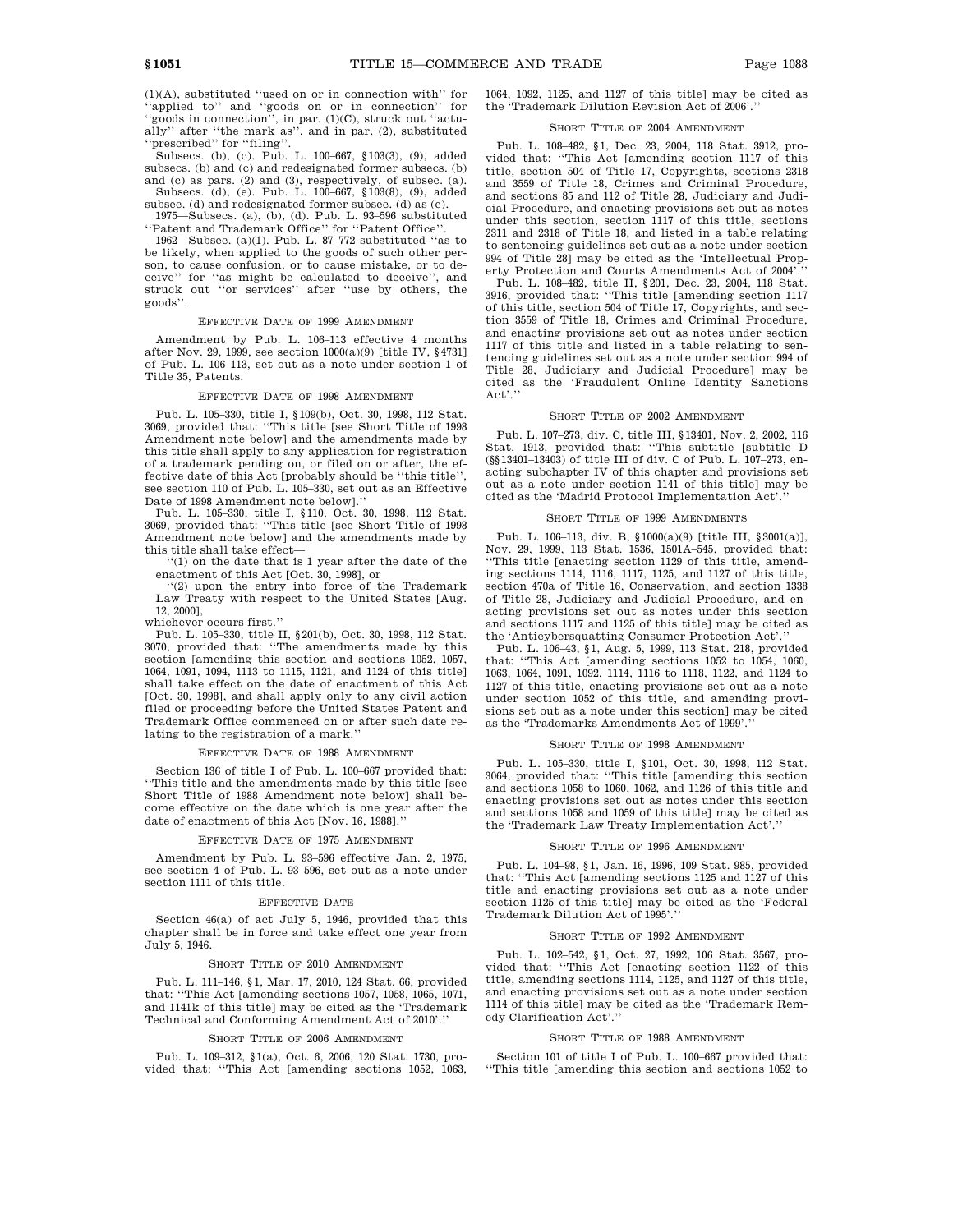(1)(A), substituted "used on or in connection with" for 'applied to" and "goods on or in connection" for ''goods in connection'', in par. (1)(C), struck out ''actually'' after ''the mark as'', and in par. (2), substituted ''prescribed'' for ''filing''.

Subsecs. (b), (c). Pub. L. 100–667, §103(3), (9), added subsecs. (b) and (c) and redesignated former subsecs. (b) and (c) as pars. (2) and (3), respectively, of subsec. (a).

Subsecs. (d), (e). Pub. L. 100–667, §103(8), (9), added subsec. (d) and redesignated former subsec. (d) as (e).

1975—Subsecs. (a), (b), (d). Pub. L. 93–596 substituted ''Patent and Trademark Office'' for ''Patent Office''.

1962—Subsec. (a)(1). Pub. L. 87–772 substituted ''as to be likely, when applied to the goods of such other person, to cause confusion, or to cause mistake, or to deceive'' for ''as might be calculated to deceive'', and struck out ''or services'' after ''use by others, the goods''.

### EFFECTIVE DATE OF 1999 AMENDMENT

Amendment by Pub. L. 106–113 effective 4 months after Nov. 29, 1999, see section 1000(a)(9) [title IV, §4731] of Pub. L. 106–113, set out as a note under section 1 of Title 35, Patents.

#### EFFECTIVE DATE OF 1998 AMENDMENT

Pub. L. 105–330, title I, §109(b), Oct. 30, 1998, 112 Stat. 3069, provided that: ''This title [see Short Title of 1998 Amendment note below] and the amendments made by this title shall apply to any application for registration of a trademark pending on, or filed on or after, the effective date of this Act [probably should be ''this title'', see section 110 of Pub. L. 105-330, set out as an Effective Date of 1998 Amendment note below].''

Pub. L. 105–330, title I, §110, Oct. 30, 1998, 112 Stat. 3069, provided that: ''This title [see Short Title of 1998 Amendment note below] and the amendments made by this title shall take effect—

''(1) on the date that is 1 year after the date of the enactment of this Act [Oct. 30, 1998], or

''(2) upon the entry into force of the Trademark Law Treaty with respect to the United States [Aug. 12, 2000],

whichever occurs first.''

Pub. L. 105–330, title II, §201(b), Oct. 30, 1998, 112 Stat. 3070, provided that: ''The amendments made by this section [amending this section and sections 1052, 1057, 1064, 1091, 1094, 1113 to 1115, 1121, and 1124 of this title] shall take effect on the date of enactment of this Act [Oct. 30, 1998], and shall apply only to any civil action filed or proceeding before the United States Patent and Trademark Office commenced on or after such date relating to the registration of a mark.''

#### EFFECTIVE DATE OF 1988 AMENDMENT

Section 136 of title I of Pub. L. 100–667 provided that: ''This title and the amendments made by this title [see Short Title of 1988 Amendment note below] shall become effective on the date which is one year after the date of enactment of this Act [Nov. 16, 1988].''

# EFFECTIVE DATE OF 1975 AMENDMENT

Amendment by Pub. L. 93–596 effective Jan. 2, 1975, see section 4 of Pub. L. 93–596, set out as a note under section 1111 of this title.

#### EFFECTIVE DATE

Section 46(a) of act July 5, 1946, provided that this chapter shall be in force and take effect one year from July 5, 1946.

### SHORT TITLE OF 2010 AMENDMENT

Pub. L. 111–146, §1, Mar. 17, 2010, 124 Stat. 66, provided that: ''This Act [amending sections 1057, 1058, 1065, 1071, and 1141k of this title] may be cited as the 'Trademark Technical and Conforming Amendment Act of 2010'.''

#### SHORT TITLE OF 2006 AMENDMENT

Pub. L. 109–312, §1(a), Oct. 6, 2006, 120 Stat. 1730, provided that: ''This Act [amending sections 1052, 1063, 1064, 1092, 1125, and 1127 of this title] may be cited as the 'Trademark Dilution Revision Act of 2006'.''

### SHORT TITLE OF 2004 AMENDMENT

Pub. L. 108–482, §1, Dec. 23, 2004, 118 Stat. 3912, provided that: ''This Act [amending section 1117 of this title, section 504 of Title 17, Copyrights, sections 2318 and 3559 of Title 18, Crimes and Criminal Procedure, and sections 85 and 112 of Title 28, Judiciary and Judicial Procedure, and enacting provisions set out as notes under this section, section 1117 of this title, sections 2311 and 2318 of Title 18, and listed in a table relating to sentencing guidelines set out as a note under section 994 of Title 28] may be cited as the 'Intellectual Property Protection and Courts Amendments Act of 2004'.

Pub. L. 108–482, title II, §201, Dec. 23, 2004, 118 Stat. 3916, provided that: ''This title [amending section 1117 of this title, section 504 of Title 17, Copyrights, and section 3559 of Title 18, Crimes and Criminal Procedure, and enacting provisions set out as notes under section 1117 of this title and listed in a table relating to sentencing guidelines set out as a note under section 994 of Title 28, Judiciary and Judicial Procedure] may be cited as the 'Fraudulent Online Identity Sanctions Act'.''

#### SHORT TITLE OF 2002 AMENDMENT

Pub. L. 107–273, div. C, title III, §13401, Nov. 2, 2002, 116 Stat. 1913, provided that: ''This subtitle [subtitle D (§§13401–13403) of title III of div. C of Pub. L. 107–273, enacting subchapter IV of this chapter and provisions set out as a note under section 1141 of this title] may be cited as the 'Madrid Protocol Implementation Act'.

#### SHORT TITLE OF 1999 AMENDMENTS

Pub. L. 106–113, div. B, §1000(a)(9) [title III, §3001(a)], Nov. 29, 1999, 113 Stat. 1536, 1501A–545, provided that: ''This title [enacting section 1129 of this title, amending sections 1114, 1116, 1117, 1125, and 1127 of this title, section 470a of Title 16, Conservation, and section 1338 of Title 28, Judiciary and Judicial Procedure, and enacting provisions set out as notes under this section and sections 1117 and 1125 of this title] may be cited as the 'Anticybersquatting Consumer Protection Act'.''

Pub. L. 106–43, §1, Aug. 5, 1999, 113 Stat. 218, provided that: ''This Act [amending sections 1052 to 1054, 1060, 1063, 1064, 1091, 1092, 1114, 1116 to 1118, 1122, and 1124 to 1127 of this title, enacting provisions set out as a note under section 1052 of this title, and amending provisions set out as a note under this section] may be cited as the 'Trademarks Amendments Act of 1999'.

### SHORT TITLE OF 1998 AMENDMENT

Pub. L. 105–330, title I, §101, Oct. 30, 1998, 112 Stat. 3064, provided that: ''This title [amending this section and sections 1058 to 1060, 1062, and 1126 of this title and enacting provisions set out as notes under this section and sections 1058 and 1059 of this title] may be cited as the 'Trademark Law Treaty Implementation Act'.''

### SHORT TITLE OF 1996 AMENDMENT

Pub. L. 104–98, §1, Jan. 16, 1996, 109 Stat. 985, provided that: ''This Act [amending sections 1125 and 1127 of this title and enacting provisions set out as a note under section 1125 of this title] may be cited as the 'Federal Trademark Dilution Act of 1995'.''

#### SHORT TITLE OF 1992 AMENDMENT

Pub. L. 102–542, §1, Oct. 27, 1992, 106 Stat. 3567, provided that: ''This Act [enacting section 1122 of this title, amending sections 1114, 1125, and 1127 of this title, and enacting provisions set out as a note under section 1114 of this title] may be cited as the 'Trademark Remedy Clarification Act'.

#### SHORT TITLE OF 1988 AMENDMENT

Section 101 of title I of Pub. L. 100–667 provided that: ''This title [amending this section and sections 1052 to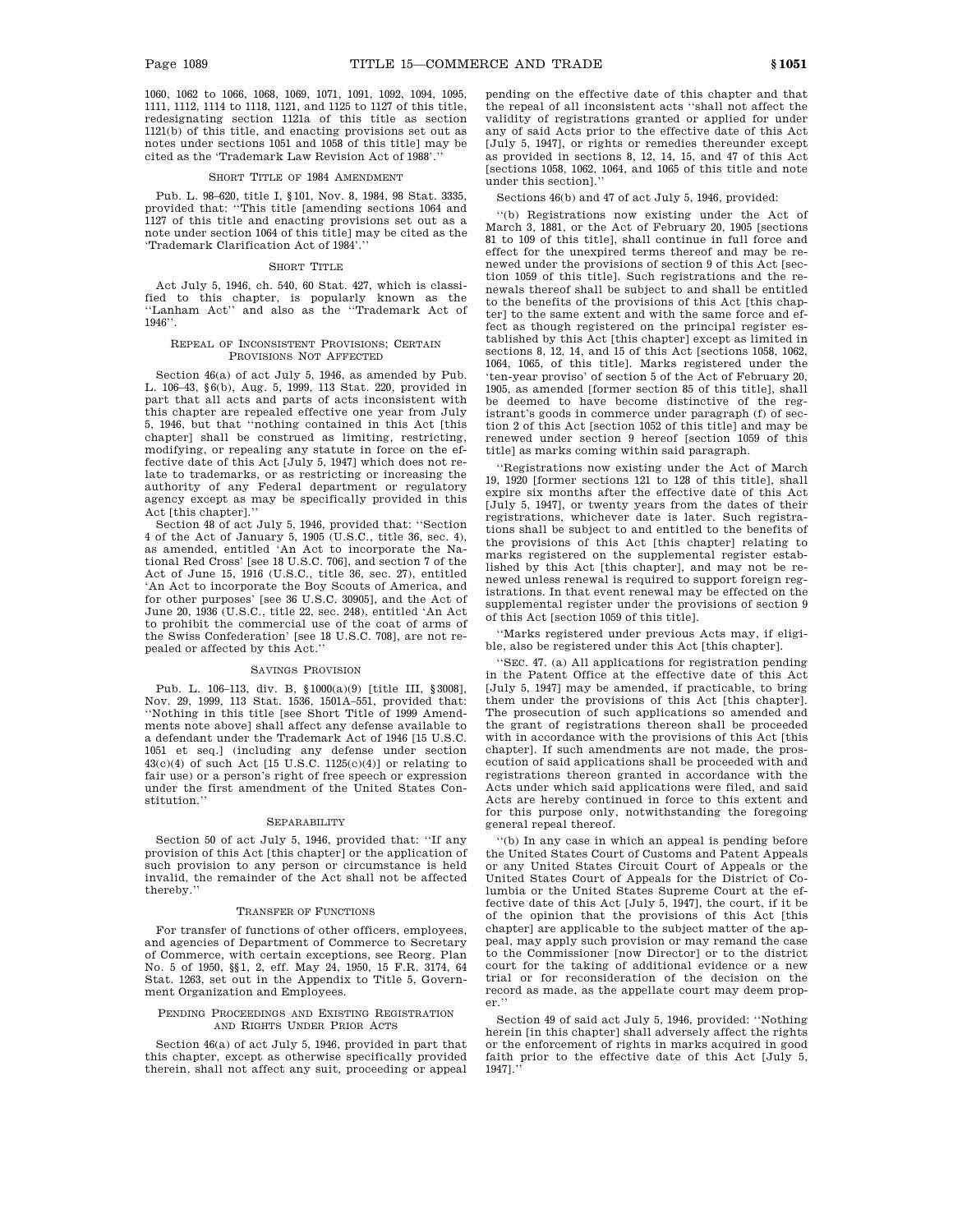1060, 1062 to 1066, 1068, 1069, 1071, 1091, 1092, 1094, 1095, 1111, 1112, 1114 to 1118, 1121, and 1125 to 1127 of this title, redesignating section 1121a of this title as section 1121(b) of this title, and enacting provisions set out as notes under sections 1051 and 1058 of this title] may be cited as the 'Trademark Law Revision Act of 1988'.''

# SHORT TITLE OF 1984 AMENDMENT

Pub. L. 98–620, title I, §101, Nov. 8, 1984, 98 Stat. 3335, provided that: ''This title [amending sections 1064 and 1127 of this title and enacting provisions set out as a note under section 1064 of this title] may be cited as the 'Trademark Clarification Act of 1984'.''

#### SHORT TITLE

Act July 5, 1946, ch. 540, 60 Stat. 427, which is classified to this chapter, is popularly known as the ''Lanham Act'' and also as the ''Trademark Act of 1946''.

#### REPEAL OF INCONSISTENT PROVISIONS; CERTAIN PROVISIONS NOT AFFECTED

Section 46(a) of act July 5, 1946, as amended by Pub. L. 106–43, §6(b), Aug. 5, 1999, 113 Stat. 220, provided in part that all acts and parts of acts inconsistent with this chapter are repealed effective one year from July 5, 1946, but that ''nothing contained in this Act [this chapter] shall be construed as limiting, restricting, modifying, or repealing any statute in force on the effective date of this Act [July 5, 1947] which does not relate to trademarks, or as restricting or increasing the authority of any Federal department or regulatory agency except as may be specifically provided in this Act [this chapter].''

Section 48 of act July 5, 1946, provided that: ''Section 4 of the Act of January 5, 1905 (U.S.C., title 36, sec. 4), as amended, entitled 'An Act to incorporate the National Red Cross' [see 18 U.S.C. 706], and section 7 of the Act of June 15, 1916 (U.S.C., title 36, sec. 27), entitled 'An Act to incorporate the Boy Scouts of America, and for other purposes' [see 36 U.S.C. 30905], and the Act of June 20, 1936 (U.S.C., title 22, sec. 248), entitled 'An Act to prohibit the commercial use of the coat of arms of the Swiss Confederation' [see 18 U.S.C. 708], are not repealed or affected by this Act.''

#### SAVINGS PROVISION

Pub. L. 106–113, div. B, §1000(a)(9) [title III, §3008], Nov. 29, 1999, 113 Stat. 1536, 1501A–551, provided that: ''Nothing in this title [see Short Title of 1999 Amendments note above] shall affect any defense available to a defendant under the Trademark Act of 1946 [15 U.S.C. 1051 et seq.] (including any defense under section  $43(c)(4)$  of such Act [15 U.S.C. 1125(c)(4)] or relating to fair use) or a person's right of free speech or expression under the first amendment of the United States Constitution.''

#### **SEPARABILITY**

Section 50 of act July 5, 1946, provided that: ''If any provision of this Act [this chapter] or the application of such provision to any person or circumstance is held invalid, the remainder of the Act shall not be affected thereby.''

#### TRANSFER OF FUNCTIONS

For transfer of functions of other officers, employees and agencies of Department of Commerce to Secretary of Commerce, with certain exceptions, see Reorg. Plan No. 5 of 1950, §§1, 2, eff. May 24, 1950, 15 F.R. 3174, 64 Stat. 1263, set out in the Appendix to Title 5, Government Organization and Employees.

### PENDING PROCEEDINGS AND EXISTING REGISTRATION AND RIGHTS UNDER PRIOR ACTS

Section 46(a) of act July 5, 1946, provided in part that this chapter, except as otherwise specifically provided therein, shall not affect any suit, proceeding or appeal

pending on the effective date of this chapter and that the repeal of all inconsistent acts ''shall not affect the validity of registrations granted or applied for under any of said Acts prior to the effective date of this Act [July 5, 1947], or rights or remedies thereunder except as provided in sections 8, 12, 14, 15, and 47 of this Act [sections 1058, 1062, 1064, and 1065 of this title and note under this section].''

Sections 46(b) and 47 of act July 5, 1946, provided:

''(b) Registrations now existing under the Act of March 3, 1881, or the Act of February 20, 1905 [sections 81 to 109 of this title], shall continue in full force and effect for the unexpired terms thereof and may be renewed under the provisions of section 9 of this Act [section 1059 of this title]. Such registrations and the renewals thereof shall be subject to and shall be entitled to the benefits of the provisions of this Act [this chapter] to the same extent and with the same force and effect as though registered on the principal register established by this Act [this chapter] except as limited in sections 8, 12, 14, and 15 of this Act [sections 1058, 1062, 1064, 1065, of this title]. Marks registered under the 'ten-year proviso' of section 5 of the Act of February 20, 1905, as amended [former section 85 of this title], shall be deemed to have become distinctive of the registrant's goods in commerce under paragraph (f) of section 2 of this Act [section 1052 of this title] and may be renewed under section 9 hereof [section 1059 of this title] as marks coming within said paragraph.

''Registrations now existing under the Act of March 19, 1920 [former sections 121 to 128 of this title], shall expire six months after the effective date of this Act [July 5, 1947], or twenty years from the dates of their registrations, whichever date is later. Such registrations shall be subject to and entitled to the benefits of the provisions of this Act [this chapter] relating to marks registered on the supplemental register established by this Act [this chapter], and may not be renewed unless renewal is required to support foreign registrations. In that event renewal may be effected on the supplemental register under the provisions of section 9 of this Act [section 1059 of this title].

''Marks registered under previous Acts may, if eligible, also be registered under this Act [this chapter].

''SEC. 47. (a) All applications for registration pending in the Patent Office at the effective date of this Act [July 5, 1947] may be amended, if practicable, to bring them under the provisions of this Act [this chapter]. The prosecution of such applications so amended and the grant of registrations thereon shall be proceeded with in accordance with the provisions of this Act [this chapter]. If such amendments are not made, the prosecution of said applications shall be proceeded with and registrations thereon granted in accordance with the Acts under which said applications were filed, and said Acts are hereby continued in force to this extent and for this purpose only, notwithstanding the foregoing general repeal thereof.

''(b) In any case in which an appeal is pending before the United States Court of Customs and Patent Appeals or any United States Circuit Court of Appeals or the United States Court of Appeals for the District of Columbia or the United States Supreme Court at the effective date of this Act [July 5, 1947], the court, if it be of the opinion that the provisions of this Act [this chapter] are applicable to the subject matter of the appeal, may apply such provision or may remand the case to the Commissioner [now Director] or to the district court for the taking of additional evidence or a new trial or for reconsideration of the decision on the record as made, as the appellate court may deem proper.''

Section 49 of said act July 5, 1946, provided: ''Nothing herein [in this chapter] shall adversely affect the rights or the enforcement of rights in marks acquired in good faith prior to the effective date of this Act [July 5, 1947].''